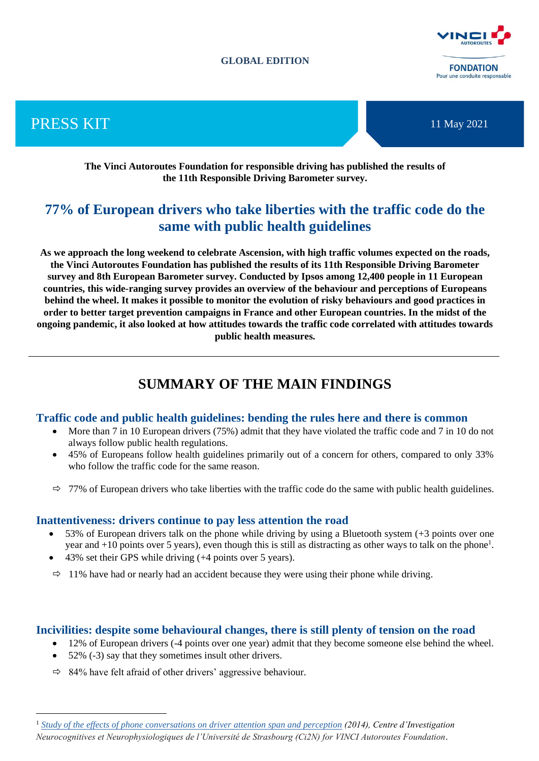### **GLOBAL EDITION**



PRESS KIT



**The Vinci Autoroutes Foundation for responsible driving has published the results of the 11th Responsible Driving Barometer survey.** 

# **77% of European drivers who take liberties with the traffic code do the same with public health guidelines**

**As we approach the long weekend to celebrate Ascension, with high traffic volumes expected on the roads, the Vinci Autoroutes Foundation has published the results of its 11th Responsible Driving Barometer survey and 8th European Barometer survey. Conducted by Ipsos among 12,400 people in 11 European countries, this wide-ranging survey provides an overview of the behaviour and perceptions of Europeans behind the wheel. It makes it possible to monitor the evolution of risky behaviours and good practices in order to better target prevention campaigns in France and other European countries. In the midst of the ongoing pandemic, it also looked at how attitudes towards the traffic code correlated with attitudes towards public health measures.**

# **SUMMARY OF THE MAIN FINDINGS**

## **Traffic code and public health guidelines: bending the rules here and there is common**

- More than 7 in 10 European drivers (75%) admit that they have violated the traffic code and 7 in 10 do not always follow public health regulations.
- 45% of Europeans follow health guidelines primarily out of a concern for others, compared to only 33% who follow the traffic code for the same reason.
- $\Rightarrow$  77% of European drivers who take liberties with the traffic code do the same with public health guidelines.

## **Inattentiveness: drivers continue to pay less attention the road**

- 53% of European drivers talk on the phone while driving by using a Bluetooth system (+3 points over one year and +10 points over 5 years), even though this is still as distracting as other ways to talk on the phone<sup>1</sup>.
- 43% set their GPS while driving (+4 points over 5 years).
- $\Rightarrow$  11% have had or nearly had an accident because they were using their phone while driving.

## **Incivilities: despite some behavioural changes, there is still plenty of tension on the road**

- 12% of European drivers (-4 points over one year) admit that they become someone else behind the wheel.
- 52% (-3) say that they sometimes insult other drivers.
- $\Rightarrow$  84% have felt afraid of other drivers' aggressive behaviour.

<sup>1</sup> *Study of the effects of phone conversations on driver attention span and perception (2014), Centre d'Investigation Neurocognitives et Neurophysiologiques de l'Université de Strasbourg (Ci2N) for VINCI Autoroutes Foundation.*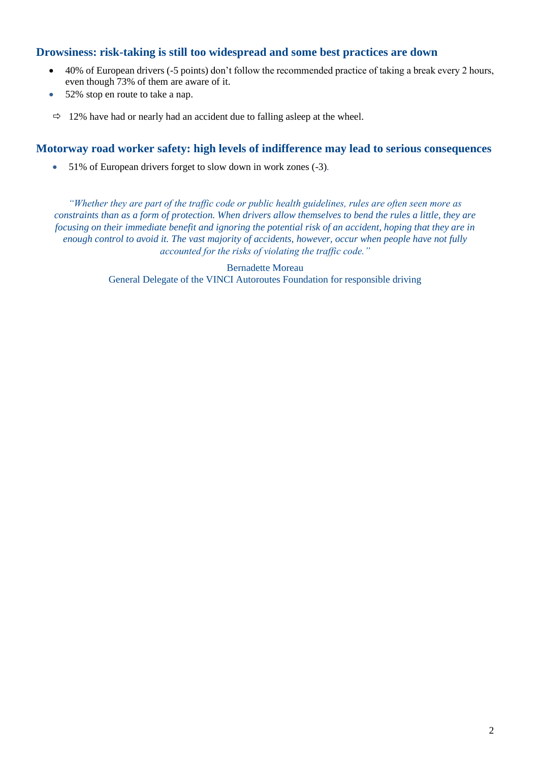# **Drowsiness: risk-taking is still too widespread and some best practices are down**

- 40% of European drivers (-5 points) don't follow the recommended practice of taking a break every 2 hours, even though 73% of them are aware of it.
- 52% stop en route to take a nap.
- $\Rightarrow$  12% have had or nearly had an accident due to falling asleep at the wheel.

# **Motorway road worker safety: high levels of indifference may lead to serious consequences**

• 51% of European drivers forget to slow down in work zones (-3)*.* 

*"Whether they are part of the traffic code or public health guidelines, rules are often seen more as constraints than as a form of protection. When drivers allow themselves to bend the rules a little, they are focusing on their immediate benefit and ignoring the potential risk of an accident, hoping that they are in enough control to avoid it. The vast majority of accidents, however, occur when people have not fully accounted for the risks of violating the traffic code."*

> Bernadette Moreau General Delegate of the VINCI Autoroutes Foundation for responsible driving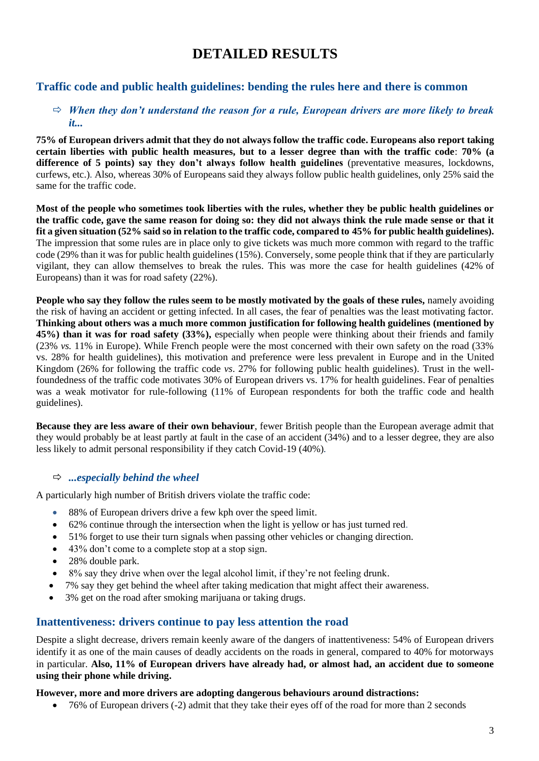# **DETAILED RESULTS**

# **Traffic code and public health guidelines: bending the rules here and there is common**

## $\Rightarrow$  *When they don't understand the reason for a rule, European drivers are more likely to break it...*

**75% of European drivers admit that they do not always follow the traffic code. Europeans also report taking certain liberties with public health measures, but to a lesser degree than with the traffic code**: **70% (a difference of 5 points) say they don't always follow health guidelines** (preventative measures, lockdowns, curfews, etc.)*.* Also, whereas 30% of Europeans said they always follow public health guidelines, only 25% said the same for the traffic code.

**Most of the people who sometimes took liberties with the rules, whether they be public health guidelines or the traffic code, gave the same reason for doing so: they did not always think the rule made sense or that it fit a given situation (52% said so in relation to the traffic code, compared to 45% for public health guidelines).** The impression that some rules are in place only to give tickets was much more common with regard to the traffic code (29% than it was for public health guidelines (15%). Conversely, some people think that if they are particularly vigilant, they can allow themselves to break the rules. This was more the case for health guidelines (42% of Europeans) than it was for road safety (22%).

**People who say they follow the rules seem to be mostly motivated by the goals of these rules,** namely avoiding the risk of having an accident or getting infected. In all cases, the fear of penalties was the least motivating factor. **Thinking about others was a much more common justification for following health guidelines (mentioned by 45%) than it was for road safety (33%),** especially when people were thinking about their friends and family (23% *vs.* 11% in Europe). While French people were the most concerned with their own safety on the road (33% vs. 28% for health guidelines), this motivation and preference were less prevalent in Europe and in the United Kingdom (26% for following the traffic code *vs*. 27% for following public health guidelines). Trust in the wellfoundedness of the traffic code motivates 30% of European drivers vs. 17% for health guidelines. Fear of penalties was a weak motivator for rule-following (11% of European respondents for both the traffic code and health guidelines).

**Because they are less aware of their own behaviour**, fewer British people than the European average admit that they would probably be at least partly at fault in the case of an accident (34%) and to a lesser degree, they are also less likely to admit personal responsibility if they catch Covid-19 (40%)*.*

## *...especially behind the wheel*

A particularly high number of British drivers violate the traffic code:

- 88% of European drivers drive a few kph over the speed limit.
- 62% continue through the intersection when the light is yellow or has just turned red.
- 51% forget to use their turn signals when passing other vehicles or changing direction.
- 43% don't come to a complete stop at a stop sign.
- 28% double park.
- 8% say they drive when over the legal alcohol limit, if they're not feeling drunk.
- 7% say they get behind the wheel after taking medication that might affect their awareness.
- 3% get on the road after smoking marijuana or taking drugs.

# **Inattentiveness: drivers continue to pay less attention the road**

Despite a slight decrease, drivers remain keenly aware of the dangers of inattentiveness: 54% of European drivers identify it as one of the main causes of deadly accidents on the roads in general, compared to 40% for motorways in particular. **Also, 11% of European drivers have already had, or almost had, an accident due to someone using their phone while driving.**

#### **However, more and more drivers are adopting dangerous behaviours around distractions:**

• 76% of European drivers (-2) admit that they take their eyes off of the road for more than 2 seconds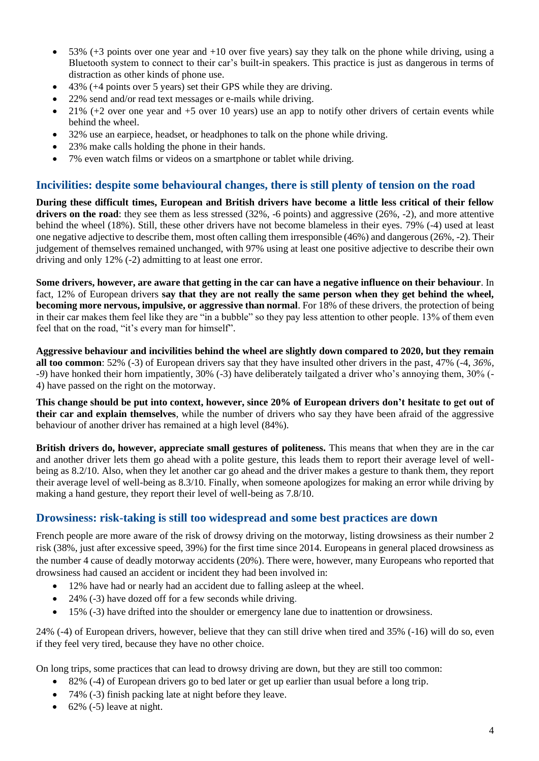- $\bullet$  53% (+3 points over one year and +10 over five years) say they talk on the phone while driving, using a Bluetooth system to connect to their car's built-in speakers. This practice is just as dangerous in terms of distraction as other kinds of phone use.
- 43% (+4 points over 5 years) set their GPS while they are driving.
- 22% send and/or read text messages or e-mails while driving.
- $\bullet$  21% (+2 over one year and +5 over 10 years) use an app to notify other drivers of certain events while behind the wheel.
- 32% use an earpiece, headset, or headphones to talk on the phone while driving.
- 23% make calls holding the phone in their hands.
- 7% even watch films or videos on a smartphone or tablet while driving.

## **Incivilities: despite some behavioural changes, there is still plenty of tension on the road**

**During these difficult times, European and British drivers have become a little less critical of their fellow drivers on the road**: they see them as less stressed (32%, -6 points) and aggressive (26%, -2), and more attentive behind the wheel (18%). Still, these other drivers have not become blameless in their eyes. 79% (-4) used at least one negative adjective to describe them, most often calling them irresponsible (46%) and dangerous (26%, -2). Their judgement of themselves remained unchanged, with 97% using at least one positive adjective to describe their own driving and only 12% (-2) admitting to at least one error.

**Some drivers, however, are aware that getting in the car can have a negative influence on their behaviour**. In fact, 12% of European drivers **say that they are not really the same person when they get behind the wheel, becoming more nervous, impulsive, or aggressive than normal**. For 18% of these drivers, the protection of being in their car makes them feel like they are "in a bubble" so they pay less attention to other people. 13% of them even feel that on the road, "it's every man for himself".

**Aggressive behaviour and incivilities behind the wheel are slightly down compared to 2020, but they remain all too common**: 52% (-3) of European drivers say that they have insulted other drivers in the past, 47% (-4, *36%, -9*) have honked their horn impatiently, 30% (-3) have deliberately tailgated a driver who's annoying them, 30% (- 4) have passed on the right on the motorway.

**This change should be put into context, however, since 20% of European drivers don't hesitate to get out of their car and explain themselves**, while the number of drivers who say they have been afraid of the aggressive behaviour of another driver has remained at a high level (84%).

**British drivers do, however, appreciate small gestures of politeness.** This means that when they are in the car and another driver lets them go ahead with a polite gesture, this leads them to report their average level of wellbeing as 8.2/10. Also, when they let another car go ahead and the driver makes a gesture to thank them, they report their average level of well-being as 8.3/10. Finally, when someone apologizes for making an error while driving by making a hand gesture, they report their level of well-being as 7.8/10.

# **Drowsiness: risk-taking is still too widespread and some best practices are down**

French people are more aware of the risk of drowsy driving on the motorway, listing drowsiness as their number 2 risk (38%, just after excessive speed, 39%) for the first time since 2014. Europeans in general placed drowsiness as the number 4 cause of deadly motorway accidents (20%). There were, however, many Europeans who reported that drowsiness had caused an accident or incident they had been involved in:

- 12% have had or nearly had an accident due to falling asleep at the wheel.
- 24% (-3) have dozed off for a few seconds while driving.
- 15% (-3) have drifted into the shoulder or emergency lane due to inattention or drowsiness.

24% (-4) of European drivers, however, believe that they can still drive when tired and 35% (-16) will do so, even if they feel very tired, because they have no other choice.

On long trips, some practices that can lead to drowsy driving are down, but they are still too common:

- 82% (-4) of European drivers go to bed later or get up earlier than usual before a long trip.
- 74% (-3) finish packing late at night before they leave.
- $\bullet$  62% (-5) leave at night.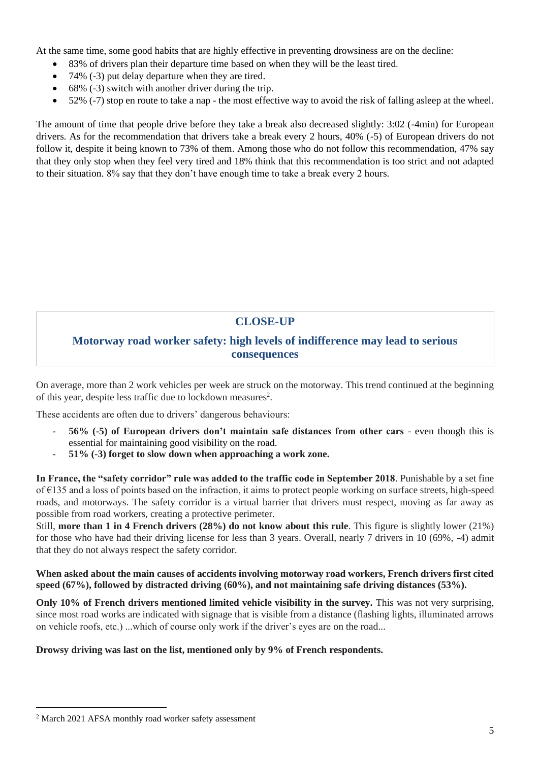At the same time, some good habits that are highly effective in preventing drowsiness are on the decline:

- 83% of drivers plan their departure time based on when they will be the least tired*.*
- 74% (-3) put delay departure when they are tired.
- 68% (-3) switch with another driver during the trip.
- 52% (-7) stop en route to take a nap the most effective way to avoid the risk of falling asleep at the wheel.

The amount of time that people drive before they take a break also decreased slightly: 3:02 (-4min) for European drivers. As for the recommendation that drivers take a break every 2 hours, 40% (-5) of European drivers do not follow it, despite it being known to 73% of them. Among those who do not follow this recommendation, 47% say that they only stop when they feel very tired and 18% think that this recommendation is too strict and not adapted to their situation. 8% say that they don't have enough time to take a break every 2 hours.

# **CLOSE-UP**

# **Motorway road worker safety: high levels of indifference may lead to serious consequences**

On average, more than 2 work vehicles per week are struck on the motorway. This trend continued at the beginning of this year, despite less traffic due to lockdown measures<sup>2</sup>.

These accidents are often due to drivers' dangerous behaviours:

- **- 56% (-5) of European drivers don't maintain safe distances from other cars**  even though this is essential for maintaining good visibility on the road.
- **- 51% (-3) forget to slow down when approaching a work zone.**

**In France, the "safety corridor" rule was added to the traffic code in September 2018**. Punishable by a set fine of €135 and a loss of points based on the infraction, it aims to protect people working on surface streets, high-speed roads, and motorways. The safety corridor is a virtual barrier that drivers must respect, moving as far away as possible from road workers, creating a protective perimeter.

Still, **more than 1 in 4 French drivers (28%) do not know about this rule**. This figure is slightly lower (21%) for those who have had their driving license for less than 3 years. Overall, nearly 7 drivers in 10 (69%, -4) admit that they do not always respect the safety corridor.

## **When asked about the main causes of accidents involving motorway road workers, French drivers first cited speed (67%), followed by distracted driving (60%), and not maintaining safe driving distances (53%).**

**Only 10% of French drivers mentioned limited vehicle visibility in the survey.** This was not very surprising, since most road works are indicated with signage that is visible from a distance (flashing lights, illuminated arrows on vehicle roofs, etc.) ...which of course only work if the driver's eyes are on the road...

### **Drowsy driving was last on the list, mentioned only by 9% of French respondents.**

<sup>&</sup>lt;sup>2</sup> March 2021 AFSA monthly road worker safety assessment